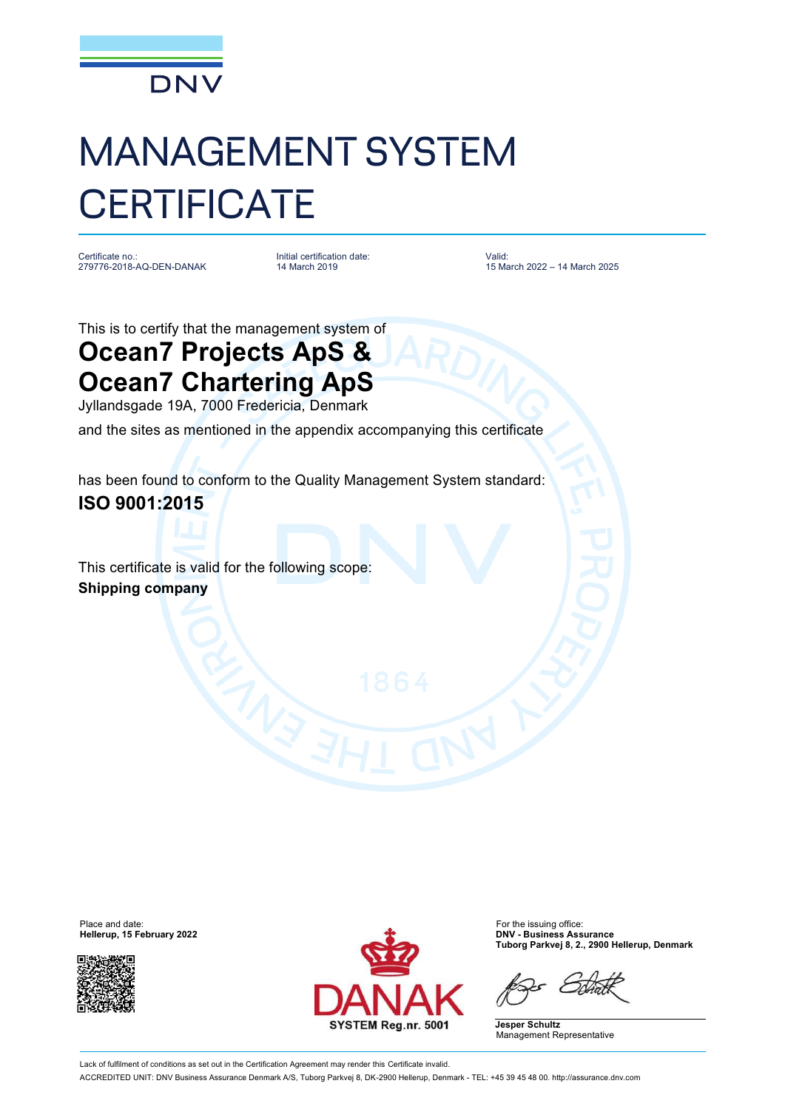

## MANAGEMENT SYSTEM **CERTIFICATE**

Certificate no.: 279776-2018-AQ-DEN-DANAK

Initial certification date: 14 March 2019

Valid: 15 March 2022 – 14 March 2025

This is to certify that the management system of

## **Ocean7 Projects ApS & Ocean7 Chartering ApS**

Jyllandsgade 19A, 7000 Fredericia, Denmark

and the sites as mentioned in the appendix accompanying this certificate

has been found to conform to the Quality Management System standard: **ISO 9001:2015**

This certificate is valid for the following scope: **Shipping company**





**Hellerup, 15 February 2022 DNV - Business Assurance Tuborg Parkvej 8, 2., 2900 Hellerup, Denmark**

**Jesper Schultz** Management Representative

Lack of fulfilment of conditions as set out in the Certification Agreement may render this Certificate invalid. ACCREDITED UNIT: DNV Business Assurance Denmark A/S, Tuborg Parkvej 8, DK-2900 Hellerup, Denmark - TEL: +45 39 45 48 00.<http://assurance.dnv.com>